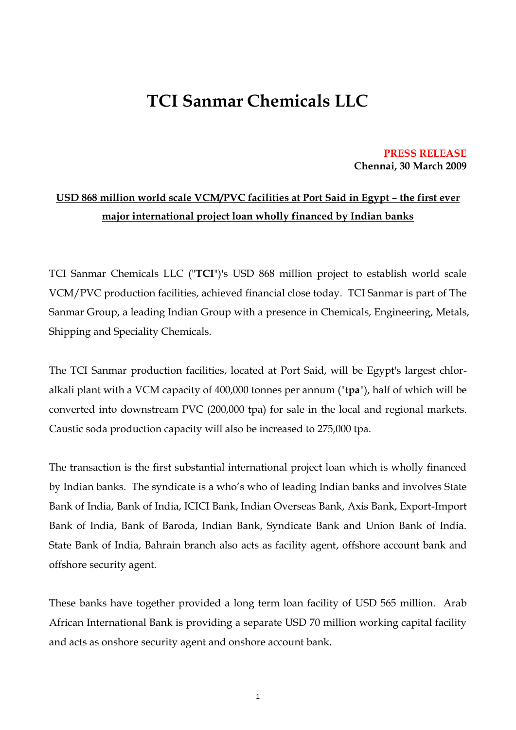## **TCI Sanmar Chemicals LLC**

**PRESS RELEASE Chennai, 30 March 2009**

## **USD 868 million world scale VCM/PVC facilities at Port Said in Egypt – the first ever major international project loan wholly financed by Indian banks**

TCI Sanmar Chemicals LLC ("**TCI**")'s USD 868 million project to establish world scale VCM/PVC production facilities, achieved financial close today. TCI Sanmar is part of The Sanmar Group, a leading Indian Group with a presence in Chemicals, Engineering, Metals, Shipping and Speciality Chemicals.

The TCI Sanmar production facilities, located at Port Said, will be Egypt's largest chloralkali plant with a VCM capacity of 400,000 tonnes per annum ("**tpa**"), half of which will be converted into downstream PVC (200,000 tpa) for sale in the local and regional markets. Caustic soda production capacity will also be increased to 275,000 tpa.

The transaction is the first substantial international project loan which is wholly financed by Indian banks. The syndicate is a who's who of leading Indian banks and involves State Bank of India, Bank of India, ICICI Bank, Indian Overseas Bank, Axis Bank, Export-Import Bank of India, Bank of Baroda, Indian Bank, Syndicate Bank and Union Bank of India. State Bank of India, Bahrain branch also acts as facility agent, offshore account bank and offshore security agent.

These banks have together provided a long term loan facility of USD 565 million. Arab African International Bank is providing a separate USD 70 million working capital facility and acts as onshore security agent and onshore account bank.